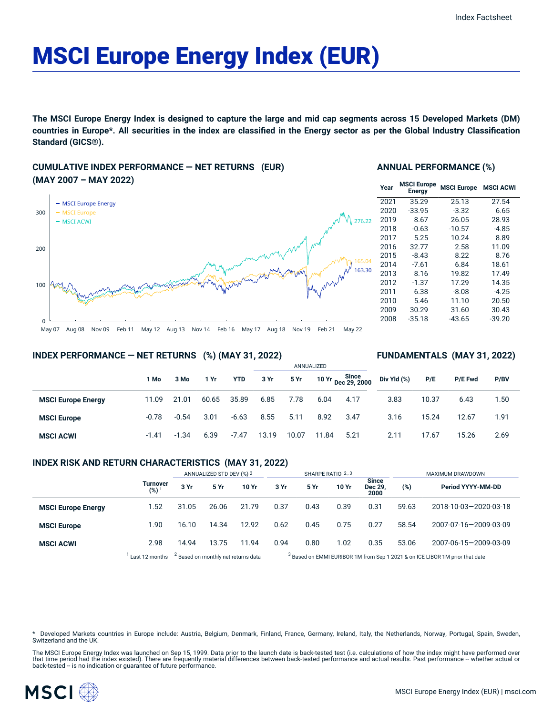# MSCI Europe Energy Index (EUR)

The MSCI Europe Energy Index is designed to capture the large and mid cap segments across 15 Developed Markets (DM) countries in Europe\*. All securities in the index are classified in the Energy sector as per the Global Industry Classification **Standard (GICS®).**

# **CUMULATIVE INDEX PERFORMANCE — NET RETURNS (EUR) (MAY 2007 – MAY 2022)**



#### **ANNUAL PERFORMANCE (%)**

| Year | <b>MSCI Europe</b><br><b>Energy</b> | <b>MSCI Europe</b> | <b>MSCI ACWI</b> |  |
|------|-------------------------------------|--------------------|------------------|--|
| 2021 | 35.29                               | 25.13              | 27.54            |  |
| 2020 | $-33.95$                            | $-3.32$            | 6.65             |  |
| 2019 | 8.67                                | 26.05              | 28.93            |  |
| 2018 | $-0.63$                             | $-10.57$           | $-4.85$          |  |
| 2017 | 5.25                                | 10.24              | 8.89             |  |
| 2016 | 32.77                               | 2.58               | 11.09            |  |
| 2015 | $-8.43$                             | 8.22               | 8.76             |  |
| 2014 | $-7.61$                             | 6.84               | 18.61            |  |
| 2013 | 8.16                                | 19.82              | 17.49            |  |
| 2012 | $-1.37$                             | 17.29              | 14.35            |  |
| 2011 | 6.38                                | $-8.08$            | $-4.25$          |  |
| 2010 | 5.46                                | 11.10              | 20.50            |  |
| 2009 | 30.29                               | 31.60              | 30.43            |  |
| 2008 | $-35.18$                            | $-43.65$           | $-39.20$         |  |

**FUNDAMENTALS (MAY 31, 2022)**

#### **INDEX PERFORMANCE — NET RETURNS (%) (MAY 31, 2022)**

#### ANNUALIZED **1 Mo 3 Mo 1 Yr YTD 3 Yr 5 Yr 10 Yr Since Dec 29, 2000 MSCI Europe Energy** 11.09 21.01 60.65 35.89 6.85 7.78 6.04 4.17 **MSCI Europe** -0.78 -0.54 3.01 -6.63 8.55 5.11 8.92 3.47 **MSCI ACWI** -1.41 -1.34 6.39 -7.47 13.19 10.07 11.84 5.21 **Div Yld (%) P/E P/E Fwd P/BV** 3.83 10.37 6.43 1.50 3.16 15.24 12.67 1.91 2.11 17.67 15.26 2.69

## **INDEX RISK AND RETURN CHARACTERISTICS (MAY 31, 2022)**

|                           |                                     | ANNUALIZED STD DEV (%) 2                       |       | SHARPE RATIO 2,3 |                                                                                         |      |       | MAXIMUM DRAWDOWN                |       |                       |
|---------------------------|-------------------------------------|------------------------------------------------|-------|------------------|-----------------------------------------------------------------------------------------|------|-------|---------------------------------|-------|-----------------------|
|                           | <b>Turnover</b><br>(%) <sup>1</sup> | 3 Yr                                           | 5 Yr  | 10 Yr            | 3 Yr                                                                                    | 5 Yr | 10 Yr | <b>Since</b><br>Dec 29.<br>2000 | (%)   | Period YYYY-MM-DD     |
| <b>MSCI Europe Energy</b> | 1.52                                | 31.05                                          | 26.06 | 21.79            | 0.37                                                                                    | 0.43 | 0.39  | 0.31                            | 59.63 | 2018-10-03-2020-03-18 |
| <b>MSCI Europe</b>        | 1.90                                | 16.10                                          | 14.34 | 12.92            | 0.62                                                                                    | 0.45 | 0.75  | 0.27                            | 58.54 | 2007-07-16-2009-03-09 |
| <b>MSCI ACWI</b>          | 2.98                                | 14.94                                          | 13.75 | 11.94            | 0.94                                                                                    | 0.80 | 1.02  | 0.35                            | 53.06 | 2007-06-15-2009-03-09 |
|                           | Last 12 months                      | <sup>2</sup> Based on monthly net returns data |       |                  | <sup>3</sup> Based on EMMI EURIBOR 1M from Sep 1 2021 & on ICE LIBOR 1M prior that date |      |       |                                 |       |                       |

Developed Markets countries in Europe include: Austria, Belgium, Denmark, Finland, France, Germany, Ireland, Italy, the Netherlands, Norway, Portugal, Spain, Sweden, Switzerland and the UK.

The MSCI Europe Energy Index was launched on Sep 15, 1999. Data prior to the launch date is back-tested test (i.e. calculations of how the index might have performed over that time period had the index existed). There are frequently material differences between back-tested performance and actual results. Past performance -- whether actual or<br>back-tested -- is no indication or guarantee of f

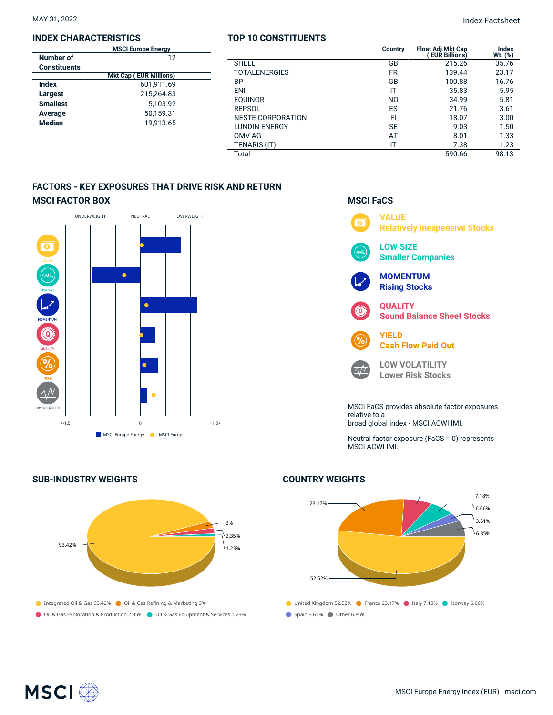# **INDEX CHARACTERISTICS**

|                     | <b>MSCI Europe Energy</b>     |  |
|---------------------|-------------------------------|--|
| Number of           | 12                            |  |
| <b>Constituents</b> |                               |  |
|                     | <b>Mkt Cap (EUR Millions)</b> |  |
| <b>Index</b>        | 601.911.69                    |  |
| Largest             | 215.264.83                    |  |
| <b>Smallest</b>     | 5,103.92                      |  |
| Average             | 50.159.31                     |  |
| <b>Median</b>       | 19.913.65                     |  |
|                     |                               |  |

### **TOP 10 CONSTITUENTS**

MAY 31, 2022 Index Factsheet

|                          | Country        | <b>Float Adj Mkt Cap</b><br><b>EUR Billions)</b> | <b>Index</b><br>$Wt.$ $(\%)$ |
|--------------------------|----------------|--------------------------------------------------|------------------------------|
| <b>SHELL</b>             | GB             | 215.26                                           | 35.76                        |
| <b>TOTALENERGIES</b>     | <b>FR</b>      | 139.44                                           | 23.17                        |
| ΒP                       | GB             | 100.88                                           | 16.76                        |
| <b>ENI</b>               | ΙT             | 35.83                                            | 5.95                         |
| <b>EOUINOR</b>           | N <sub>O</sub> | 34.99                                            | 5.81                         |
| <b>REPSOL</b>            | ES             | 21.76                                            | 3.61                         |
| <b>NESTE CORPORATION</b> | FI             | 18.07                                            | 3.00                         |
| <b>LUNDIN ENERGY</b>     | <b>SE</b>      | 9.03                                             | 1.50                         |
| OMV AG                   | AT             | 8.01                                             | 1.33                         |
| TENARIS (IT)             | IT             | 7.38                                             | 1.23                         |
| Total                    |                | 590.66                                           | 98.13                        |
|                          |                |                                                  |                              |

# **FACTORS - KEY EXPOSURES THAT DRIVE RISK AND RETURN MSCI FACTOR BOX**



# **SUB-INDUSTRY WEIGHTS**



# **MSCI FaCS**



relative to a broad global index - MSCI ACWI IMI.

Neutral factor exposure (FaCS = 0) represents MSCI ACWI IMI.

# United Kingdom 52.52% **C** France 23.17% Italy 7.18% Norway 6.66% Spain 3.61% Other 6.85% 23.17% 52.52% 7.18% 6.66% 3.61%  $6.85%$

# **COUNTRY WEIGHTS**